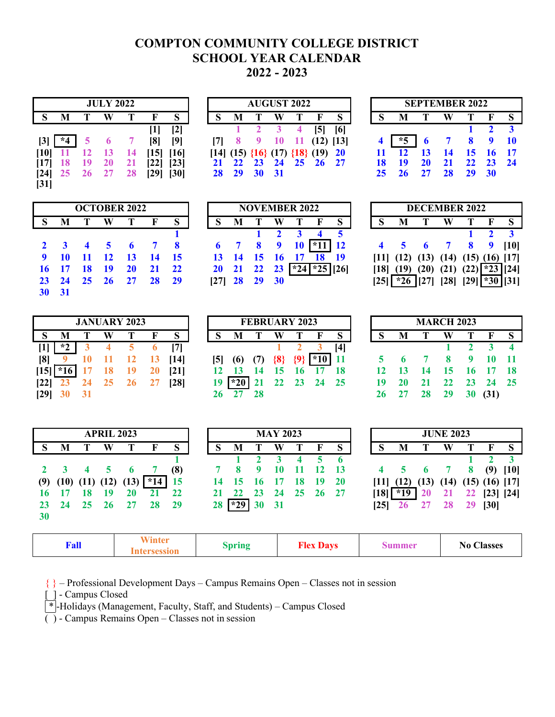# **COMPTON COMMUNITY COLLEGE DISTRICT SCHOOL YEAR CALENDAR 2022 - 2023**

|                   |           |                 | <b>JULY 2022</b> |           |      |                   |      |          |                | <b>AUGUST 2022</b> |      |                                               |             |  |                   |                 |           | <b>SEPTEMBER 2022</b> |              |             |
|-------------------|-----------|-----------------|------------------|-----------|------|-------------------|------|----------|----------------|--------------------|------|-----------------------------------------------|-------------|--|-------------------|-----------------|-----------|-----------------------|--------------|-------------|
|                   | M         |                 | W                | т         |      | S                 |      | M        |                | W                  | т    | $\mathbf F$                                   | S.          |  | M                 |                 | W         |                       | $\mathbf{F}$ | $\mathbf S$ |
|                   |           |                 |                  |           |      | $\lceil 2 \rceil$ |      |          |                |                    |      |                                               | [6]         |  |                   |                 |           |                       |              |             |
| $\lceil 3 \rceil$ | $*4$      | 5               |                  |           | [8]  | [9]               | 17 L | $\sim$ 8 | $\overline{9}$ | 10                 | - 11 |                                               | $(12)$ [13] |  | $*5$              | $\blacksquare$  |           | 7 8 9 10              |              |             |
|                   | $[10]$ 11 | $\overline{12}$ | 13               | - 14      |      | $[15]$ $[16]$     |      |          |                |                    |      | $[14]$ $(15)$ $\{16\}$ $(17)$ $\{18\}$ $(19)$ | <b>20</b>   |  | $11 \quad 12$     | $\overline{13}$ | 14        | 15 16 17              |              |             |
| [17]              | <b>18</b> | - 19            | <b>20</b>        | 21        | [22] | [23]              |      |          |                |                    |      | 21 22 23 24 25 26 27                          |             |  | 18 19             | <b>20</b>       | <b>21</b> |                       | 22 23 24     |             |
| $\left[24\right]$ | 25        | 26 27           |                  | <b>28</b> | [29] | [30]              |      |          | 28 29 30 31    |                    |      |                                               |             |  | 25 26 27 28 29 30 |                 |           |                       |              |             |
| $[31]$            |           |                 |                  |           |      |                   |      |          |                |                    |      |                                               |             |  |                   |                 |           |                       |              |             |

|   |                | <b>JULY 2022</b> |    |             |                   |                                            | <b>AUGUST 2022</b> |         |   |            |             |  |                        |    | <b>SEPTEMBER 2022</b>                                                                                                                                                                                                                                                                                                     |                  |                |  |
|---|----------------|------------------|----|-------------|-------------------|--------------------------------------------|--------------------|---------|---|------------|-------------|--|------------------------|----|---------------------------------------------------------------------------------------------------------------------------------------------------------------------------------------------------------------------------------------------------------------------------------------------------------------------------|------------------|----------------|--|
| S | M              | W                |    |             | S.                |                                            | M T                | W       |   |            |             |  | M                      |    | W                                                                                                                                                                                                                                                                                                                         | $\mathbf{T}$     | $\mathbf{F}$ S |  |
|   |                |                  |    |             | $\lceil 2 \rceil$ |                                            |                    |         | 4 | <b>151</b> | [6]         |  |                        |    |                                                                                                                                                                                                                                                                                                                           |                  |                |  |
|   | $3$   *4 5     |                  |    | [8]         | [9]               |                                            |                    | 9 10 11 |   |            | $(12)$ [13] |  | $\mid$ *5 $\mid$       |    | $\begin{array}{cccc} 6 & 7 & 8 & 9 & 10 \\ 1 & 6 & 1 & 8 & 9 & 10 \\ 1 & 1 & 1 & 1 & 10 \\ 1 & 1 & 1 & 1 & 10 \\ 1 & 1 & 1 & 1 & 10 \\ 1 & 1 & 1 & 1 & 10 \\ 1 & 1 & 1 & 1 & 10 \\ 1 & 1 & 1 & 1 & 10 \\ 1 & 1 & 1 & 1 & 10 \\ 1 & 1 & 1 & 1 & 10 \\ 1 & 1 & 1 & 1 & 10 \\ 1 & 1 & 1 & 1 & 10 \\ 1 & 1 & 1 & 1 & 10 \\ 1$ |                  |                |  |
|   | $ 0 $ 11 12 13 |                  | 14 |             | [15] [16]         | $[14]$ (15) $\{16\}$ (17) $\{18\}$ (19) 20 |                    |         |   |            |             |  | $11 \quad 12 \quad 13$ |    | <b>14</b>                                                                                                                                                                                                                                                                                                                 | 15 16 17         |                |  |
|   | 17 18 19       | - 20             |    | <u> 221</u> | $\left[23\right]$ | 21 22 23 24 25 26 27                       |                    |         |   |            |             |  | 19                     | 20 | 21                                                                                                                                                                                                                                                                                                                        | $22 \t 23 \t 24$ |                |  |
|   | 24 25 26 27    |                  |    | [29]        | [30]              | 28 29 30 31                                |                    |         |   |            |             |  | 25 26 27 28 29 30      |    |                                                                                                                                                                                                                                                                                                                           |                  |                |  |
| . |                |                  |    |             |                   |                                            |                    |         |   |            |             |  |                        |    |                                                                                                                                                                                                                                                                                                                           |                  |                |  |

|    |    |    | <b>SEPTEMBER 2022</b> |    |    |    |
|----|----|----|-----------------------|----|----|----|
|    |    |    |                       |    | F  | S  |
|    |    |    |                       |    | 2  |    |
| 4  |    | 6  |                       | Я  | q  | 10 |
| 11 | 12 | 13 | 14                    | 15 | 16 | 17 |
| 18 | 19 | 20 | 21                    | 22 | 23 | 24 |
| 25 | 26 | 27 | 28                    | 29 | 30 |    |

|              |    |                        |            | <b>OCTOBER 2022</b> |    |    |
|--------------|----|------------------------|------------|---------------------|----|----|
| S            |    | Т                      |            | т                   | F  | S  |
|              |    |                        |            |                     |    |    |
| $\mathbf{2}$ | 3  | $\boldsymbol{\Lambda}$ | $\sqrt{5}$ | 6                   |    | 8  |
| 9            | 10 | 11                     | <b>12</b>  | 13                  | 14 | 15 |
| 16           | 17 | 18                     | 19         | <b>20</b>           | 21 | 22 |
| 23           | 24 | 25 <sub>1</sub>        | 26         | 27                  | 28 | 29 |
| 30           | 31 |                        |            |                     |    |    |

|       |     | <b>OCTOBER 2022</b>         |  |  | <b>NOVEMBER 2022</b>                        |                     |                                                           |  |                                                  | <b>DECEMBER 2022</b> |       |                     |  |
|-------|-----|-----------------------------|--|--|---------------------------------------------|---------------------|-----------------------------------------------------------|--|--------------------------------------------------|----------------------|-------|---------------------|--|
| S M T | - W |                             |  |  |                                             |                     | S M T W T F                                               |  | M                                                | W                    | T F S |                     |  |
|       |     |                             |  |  |                                             | $1 \quad 2 \quad 3$ |                                                           |  |                                                  |                      |       | $1 \quad 2 \quad 3$ |  |
|       |     | $2 \t3 \t4 \t5 \t6 \t7 \t8$ |  |  |                                             |                     | $6 \t 7 \t 8 \t 9 \t 10 \t \t \t \t \t \t \t \t 11 \t 12$ |  | 4 5 6 7 8 9 10                                   |                      |       |                     |  |
|       |     | 9 10 11 12 13 14 15         |  |  |                                             |                     | 13 14 15 16 17 18 19                                      |  | $[11]$ $(12)$ $(13)$ $(14)$ $(15)$ $(16)$ $[17]$ |                      |       |                     |  |
|       |     | 16 17 18 19 20 21 22        |  |  |                                             |                     | 20 21 22 23 $\sqrt[3]{24}$ $\sqrt[3]{25}$ [26]            |  | $[18]$ (19) (20) (21) (22) $\sqrt[3]{23}$ [24]   |                      |       |                     |  |
|       |     | 23 24 25 26 27 28 29        |  |  | $\begin{bmatrix} 27 \end{bmatrix}$ 28 29 30 |                     |                                                           |  | $[25]$ *26 [27] [28] [29] *30 [31]               |                      |       |                     |  |
|       |     |                             |  |  |                                             |                     |                                                           |  |                                                  |                      |       |                     |  |

|       |          | <b>OCTOBER 2022</b>  |    |  | <b>NOVEMBER 2022</b>                                |  |                                                                  |  |   | <b>DECEMBER 2022</b>                             |                                              |  |
|-------|----------|----------------------|----|--|-----------------------------------------------------|--|------------------------------------------------------------------|--|---|--------------------------------------------------|----------------------------------------------|--|
| S M T | <b>W</b> |                      | S. |  | ISMTWT                                              |  | F S                                                              |  | M | W T F S                                          |                                              |  |
|       |          |                      |    |  | $\begin{array}{array}{ccc} & 1 & 2 & 3 \end{array}$ |  | 4 <sub>5</sub>                                                   |  |   |                                                  | $\blacksquare$ $\blacksquare$ $\blacksquare$ |  |
|       |          | 2 3 4 5 6 7 8        |    |  |                                                     |  | $6 \quad 7 \quad 8 \quad 9 \quad 10 \quad \boxed{^*11} \quad 12$ |  |   | 4 5 6 7 8 9 [10]                                 |                                              |  |
|       |          | 9 10 11 12 13 14 15  |    |  |                                                     |  | 13 14 15 16 17 18 19                                             |  |   | $[11]$ $(12)$ $(13)$ $(14)$ $(15)$ $(16)$ $[17]$ |                                              |  |
|       |          | 16 17 18 19 20 21 22 |    |  |                                                     |  | $20$ 21 22 23 $\sqrt{\times 24}$ $\sqrt{\times 25}$ [26]         |  |   | $[18]$ $(19)$ $(20)$ $(21)$ $(22)$ $*23$ $[24]$  |                                              |  |
|       |          | 23 24 25 26 27 28 29 |    |  | $[27]$ 28 29 30                                     |  |                                                                  |  |   | $[25]$ *26 [27] [28] [29] *30 [31]               |                                              |  |
|       |          |                      |    |  |                                                     |  |                                                                  |  |   |                                                  |                                              |  |

|            |  | <b>JANUARY 2023</b> |                               |  |  | <b>FEBRUARY 2023</b> |                                        |     |  | <b>MARCH 2023</b> |  |                       |  |
|------------|--|---------------------|-------------------------------|--|--|----------------------|----------------------------------------|-----|--|-------------------|--|-----------------------|--|
|            |  |                     | ISMTWTFS                      |  |  |                      | ISMTWTFS                               |     |  |                   |  | S M T W T F S         |  |
|            |  | $*2$ 3 4 5 6 [7]    |                               |  |  |                      |                                        | [4] |  |                   |  |                       |  |
|            |  |                     | [8] 9 10 11 12 13 [14]        |  |  |                      | $[5]$ (6) (7) $\{8\}$ $\{9\}$ $*10$ 11 |     |  |                   |  | 5 6 7 8 9 10 11       |  |
|            |  |                     | $[15]$ $*16$ 17 18 19 20 [21] |  |  |                      | 12 13 14 15 16 17 18                   |     |  |                   |  | 12 13 14 15 16 17 18  |  |
|            |  |                     | $[22]$ 23 24 25 26 27 [28]    |  |  |                      | $19 \times 20$ 21 22 23 24 25          |     |  |                   |  | 19 20 21 22 23 24 25  |  |
| [29] 30 31 |  |                     |                               |  |  |                      |                                        |     |  |                   |  | $26$ 27 28 29 30 (31) |  |

|     | <b>JANUARY 2023</b> |                                          |  |                                                        | <b>FEBRUARY 2023</b> |         |  |   | <b>MARCH 2023</b> |       |  |
|-----|---------------------|------------------------------------------|--|--------------------------------------------------------|----------------------|---------|--|---|-------------------|-------|--|
| T W |                     | $F-S$                                    |  | S M T W T F S                                          |                      |         |  | M | $\mathbf{T}$      | W T   |  |
|     | 3 4 5 6 [7]         |                                          |  |                                                        |                      | 1 2 3 4 |  |   |                   |       |  |
|     |                     | $10 \quad 11 \quad 12 \quad 13 \quad 14$ |  | $[5]$ (6) (7) $\{8\}$ $\{9\}$ $\lfloor *10 \rfloor$ 11 |                      |         |  |   | 5 6 7 8 9         |       |  |
|     |                     | 17 18 19 20 [21]                         |  | 12 13 14 15 16 17 18                                   |                      |         |  |   | 12 13 14 15 16    |       |  |
|     |                     | 24 25 26 27 [28]                         |  | $19 \times 20$ 21 22 23 24 25                          |                      |         |  |   | 19 20 21 22 23    |       |  |
|     |                     |                                          |  |                                                        |                      |         |  |   | -28               | 29 30 |  |

|    |    |    | <b>MARCH 2023</b> |           |      |    |
|----|----|----|-------------------|-----------|------|----|
| S  |    | т  |                   | т         | F    | S  |
|    |    |    |                   |           | 3    |    |
| 5  | 6  | 7  | 8                 | 9         | 10   | 11 |
| 12 | 13 | 14 | 15                | <b>16</b> | 17   | 18 |
| 19 | 20 | 21 | 22                | 23        | 24   | 25 |
| 26 | 27 | 28 | 29                | 30        | (31) |    |

|                 |                  |                       | <b>APRIL 2023</b>     |                                  |                                      |                       |          |                  |                     | <b>MAY 2023</b>      |               |                     |                                               |                           |                                 |                               | <b>JUNE 2023</b> |                       |                            |                   |
|-----------------|------------------|-----------------------|-----------------------|----------------------------------|--------------------------------------|-----------------------|----------|------------------|---------------------|----------------------|---------------|---------------------|-----------------------------------------------|---------------------------|---------------------------------|-------------------------------|------------------|-----------------------|----------------------------|-------------------|
| S               | M                | Т                     | W                     |                                  | F                                    | S                     | S        | M                | т                   | W                    | т             | F                   | S                                             | S                         | M                               | Т                             | W                | Т                     | F                          | S                 |
| (9)<br>23<br>30 | (10)<br>17<br>24 | 4<br>(11)<br>18<br>25 | 5<br>(12)<br>19<br>26 | $\mathbf{p}$<br>(13)<br>20<br>27 | $*14$<br>21<br>28                    | (8)<br>15<br>22<br>29 | 14<br>28 | x<br>15<br>$*29$ | 9<br>16<br>23<br>30 | 10<br>17<br>24<br>31 | 4<br>18<br>25 | 5<br>12<br>19<br>26 | <sub>o</sub><br><b>13</b><br><b>20</b><br>-27 | 4<br> 11 <br>[18]<br>[25] | 5<br>(12)<br>$*19$<br><b>26</b> | $\bullet$<br>(13)<br>20<br>27 | (14)<br>21<br>28 | 8<br>(15)<br>22<br>29 | (9)<br>$(16)$ [17]<br>[30] | [10]<br>[23] [24] |
|                 | Fall             |                       |                       |                                  | <b>Winter</b><br><b>Intersession</b> |                       |          | <b>Spring</b>    |                     |                      |               | <b>Flex Days</b>    |                                               |                           | <b>Summer</b>                   |                               |                  | <b>No Classes</b>     |                            |                   |

{ } – Professional Development Days – Campus Remains Open – Classes not in session

[ ] - Campus Closed

\* -Holidays (Management, Faculty, Staff, and Students) – Campus Closed

 $\overline{()}$  - Campus Remains Open – Classes not in session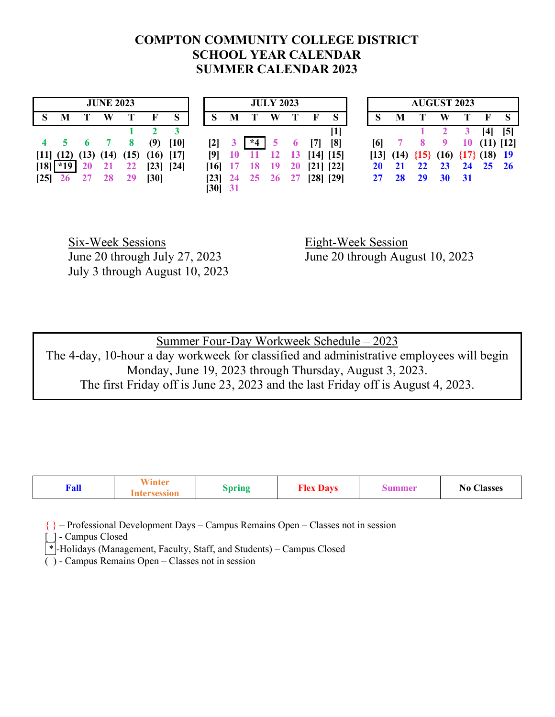## **COMPTON COMMUNITY COLLEGE DISTRICT SCHOOL YEAR CALENDAR SUMMER CALENDAR 2023**

|      |                                                  |           | <b>JUNE 2023</b> |                 |      |      |                |   |                    | <b>JULY 2023</b> |              |                                      |           |           |           |          | <b>AUGUST 2023</b>                               |    |              |            |
|------|--------------------------------------------------|-----------|------------------|-----------------|------|------|----------------|---|--------------------|------------------|--------------|--------------------------------------|-----------|-----------|-----------|----------|--------------------------------------------------|----|--------------|------------|
|      | M                                                |           | W                | Т               |      | S    |                | M |                    | W                |              |                                      | S         |           | М         |          | W                                                |    | $\mathbf{F}$ | S          |
|      |                                                  |           |                  |                 |      |      |                |   |                    |                  |              |                                      | $[1]$     |           |           |          |                                                  |    | <b>[4]</b>   | $\sqrt{5}$ |
|      | 4 5 6 7 8                                        |           |                  |                 | (9)  | [10] | $\mathbf{[2]}$ |   | $*4$               | 5                | $\mathbf{6}$ | $\vert 7 \vert$                      | [8]       | [6]       |           | $8 \t 9$ |                                                  | 10 | $(11)$ [12]  |            |
|      | $[11]$ $(12)$ $(13)$ $(14)$ $(15)$ $(16)$ $[17]$ |           |                  |                 |      |      | $[9]$ 10       |   |                    |                  |              | $11 \quad 12 \quad 13 \quad 14$ [15] |           |           |           |          | $[13]$ $(14)$ $\{15\}$ $(16)$ $\{17\}$ $(18)$ 19 |    |              |            |
| [18] | $*19$                                            | <b>20</b> |                  | 21 22 [23] [24] |      |      |                |   | $[16]$ 17 18       | $\overline{19}$  | <b>20</b>    |                                      | [21] [22] | <b>20</b> | 21        |          | 22 23 24 25 26                                   |    |              |            |
|      | $[25]$ 26                                        |           | 27 28 29         |                 | [30] |      |                |   | $[23]$ 24 25 26 27 |                  |              | $[28]$ $[29]$                        |           | 27        | <b>28</b> |          | 29 30 31                                         |    |              |            |
|      |                                                  |           |                  |                 |      |      | [30] 31        |   |                    |                  |              |                                      |           |           |           |          |                                                  |    |              |            |

Six-Week Sessions Eight-Week Session July 3 through August 10, 2023

June 20 through July 27, 2023 June 20 through August 10, 2023

Summer Four-Day Workweek Schedule – 2023 The 4-day, 10-hour a day workweek for classified and administrative employees will begin Monday, June 19, 2023 through Thursday, August 3, 2023. The first Friday off is June 23, 2023 and the last Friday off is August 4, 2023.

| Fall | $\mathbf{w}$ $\mathbf{w}$ $\mathbf{r}$ $\bullet$<br>ınte | pring | --<br>Dove<br>.10 <sup>4</sup><br>$- - - - - -$ | ,,,, | $\rightarrow$<br>$\sim$<br>Aasses<br>N0 |
|------|----------------------------------------------------------|-------|-------------------------------------------------|------|-----------------------------------------|
|------|----------------------------------------------------------|-------|-------------------------------------------------|------|-----------------------------------------|

{ } – Professional Development Days – Campus Remains Open – Classes not in session

[ ] - Campus Closed

 $\lceil * \rceil$ -Holidays (Management, Faculty, Staff, and Students) – Campus Closed

 $\overline{()}$  - Campus Remains Open – Classes not in session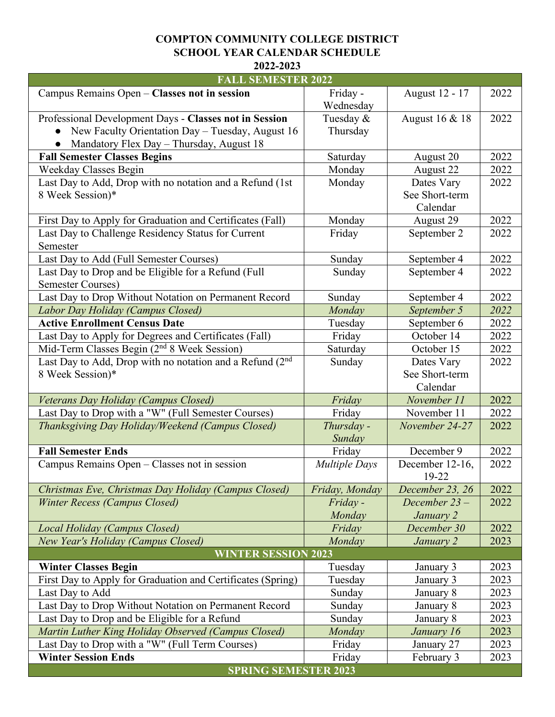### **COMPTON COMMUNITY COLLEGE DISTRICT SCHOOL YEAR CALENDAR SCHEDULE 2022-2023**

| <b>FALL SEMESTER 2022</b>                                   |                      |                 |      |
|-------------------------------------------------------------|----------------------|-----------------|------|
| Campus Remains Open - Classes not in session                | Friday -             | August 12 - 17  | 2022 |
|                                                             | Wednesday            |                 |      |
| Professional Development Days - Classes not in Session      | Tuesday &            | August 16 & 18  | 2022 |
| New Faculty Orientation Day - Tuesday, August 16            | Thursday             |                 |      |
| Mandatory Flex Day - Thursday, August 18                    |                      |                 |      |
| <b>Fall Semester Classes Begins</b>                         | Saturday             | August 20       | 2022 |
| <b>Weekday Classes Begin</b>                                | Monday               | August 22       | 2022 |
| Last Day to Add, Drop with no notation and a Refund (1st    | Monday               | Dates Vary      | 2022 |
| 8 Week Session)*                                            |                      | See Short-term  |      |
|                                                             |                      | Calendar        |      |
| First Day to Apply for Graduation and Certificates (Fall)   | Monday               | August 29       | 2022 |
| Last Day to Challenge Residency Status for Current          | Friday               | September 2     | 2022 |
| Semester                                                    |                      |                 |      |
| Last Day to Add (Full Semester Courses)                     | Sunday               | September 4     | 2022 |
| Last Day to Drop and be Eligible for a Refund (Full         | Sunday               | September 4     | 2022 |
| <b>Semester Courses)</b>                                    |                      |                 |      |
| Last Day to Drop Without Notation on Permanent Record       | Sunday               | September 4     | 2022 |
| Labor Day Holiday (Campus Closed)                           | Monday               | September 5     | 2022 |
| <b>Active Enrollment Census Date</b>                        | Tuesday              | September 6     | 2022 |
| Last Day to Apply for Degrees and Certificates (Fall)       | Friday               | October 14      | 2022 |
| Mid-Term Classes Begin $(2^{nd} 8$ Week Session)            | Saturday             | October 15      | 2022 |
| Last Day to Add, Drop with no notation and a Refund (2nd    | Sunday               | Dates Vary      | 2022 |
| 8 Week Session)*                                            |                      | See Short-term  |      |
|                                                             |                      | Calendar        |      |
| Veterans Day Holiday (Campus Closed)                        | Friday               | November 11     | 2022 |
| Last Day to Drop with a "W" (Full Semester Courses)         | Friday               | November 11     | 2022 |
| Thanksgiving Day Holiday/Weekend (Campus Closed)            | Thursday -           | November 24-27  | 2022 |
|                                                             | Sunday               |                 |      |
| <b>Fall Semester Ends</b>                                   | Friday               | December 9      | 2022 |
| Campus Remains Open – Classes not in session                | <b>Multiple Days</b> | December 12-16, | 2022 |
|                                                             |                      | 19-22           |      |
| Christmas Eve, Christmas Day Holiday (Campus Closed)        | Friday, Monday       | December 23, 26 | 2022 |
| <b>Winter Recess (Campus Closed)</b>                        | Friday-              | December 23-    | 2022 |
|                                                             | Monday               | January 2       |      |
| Local Holiday (Campus Closed)                               | Friday               | December 30     | 2022 |
| New Year's Holiday (Campus Closed)                          | Monday               | January 2       | 2023 |
| <b>WINTER SESSION 2023</b>                                  |                      |                 |      |
| <b>Winter Classes Begin</b>                                 | Tuesday              | January 3       | 2023 |
| First Day to Apply for Graduation and Certificates (Spring) | Tuesday              | January 3       | 2023 |
| Last Day to Add                                             | Sunday               | January 8       | 2023 |
| Last Day to Drop Without Notation on Permanent Record       | Sunday               | January 8       | 2023 |
| Last Day to Drop and be Eligible for a Refund               | Sunday               | January 8       | 2023 |
| Martin Luther King Holiday Observed (Campus Closed)         | Monday               | January 16      | 2023 |
| Last Day to Drop with a "W" (Full Term Courses)             | Friday               | January 27      | 2023 |
| <b>Winter Session Ends</b>                                  | Friday               | February 3      | 2023 |
| <b>SPRING SEMESTER 2023</b>                                 |                      |                 |      |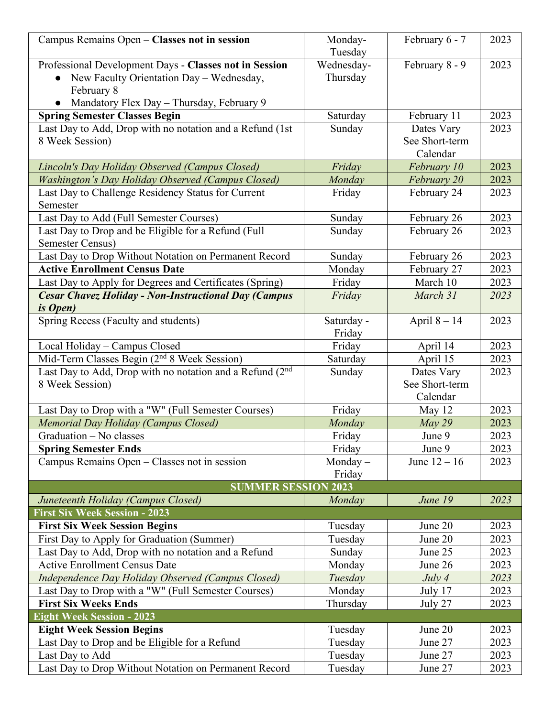| Campus Remains Open - Classes not in session                               | Monday-    | February 6 - 7 | 2023 |
|----------------------------------------------------------------------------|------------|----------------|------|
|                                                                            | Tuesday    |                |      |
| Professional Development Days - Classes not in Session                     | Wednesday- | February 8 - 9 | 2023 |
| New Faculty Orientation Day - Wednesday,                                   | Thursday   |                |      |
| February 8                                                                 |            |                |      |
| Mandatory Flex Day - Thursday, February 9                                  |            |                |      |
| <b>Spring Semester Classes Begin</b>                                       | Saturday   | February 11    | 2023 |
| Last Day to Add, Drop with no notation and a Refund (1st                   | Sunday     | Dates Vary     | 2023 |
| 8 Week Session)                                                            |            | See Short-term |      |
|                                                                            |            | Calendar       |      |
| Lincoln's Day Holiday Observed (Campus Closed)                             | Friday     | February 10    | 2023 |
| <b>Washington's Day Holiday Observed (Campus Closed)</b>                   | Monday     | February 20    | 2023 |
| Last Day to Challenge Residency Status for Current                         | Friday     | February 24    | 2023 |
| Semester                                                                   |            |                |      |
| Last Day to Add (Full Semester Courses)                                    | Sunday     | February 26    | 2023 |
| Last Day to Drop and be Eligible for a Refund (Full                        | Sunday     | February 26    | 2023 |
| Semester Census)                                                           |            |                |      |
| Last Day to Drop Without Notation on Permanent Record                      | Sunday     | February 26    | 2023 |
| <b>Active Enrollment Census Date</b>                                       | Monday     | February 27    | 2023 |
| Last Day to Apply for Degrees and Certificates (Spring)                    | Friday     | March 10       | 2023 |
| <b>Cesar Chavez Holiday - Non-Instructional Day (Campus</b>                | Friday     | March 31       | 2023 |
| <i>is Open</i> )                                                           |            |                |      |
| Spring Recess (Faculty and students)                                       | Saturday - | April $8 - 14$ | 2023 |
|                                                                            | Friday     |                |      |
| Local Holiday - Campus Closed                                              | Friday     | April 14       | 2023 |
| Mid-Term Classes Begin $(2^{nd} 8$ Week Session)                           | Saturday   | April 15       | 2023 |
| Last Day to Add, Drop with no notation and a Refund (2 <sup>nd</sup>       | Sunday     | Dates Vary     | 2023 |
| 8 Week Session)                                                            |            | See Short-term |      |
|                                                                            |            | Calendar       |      |
| Last Day to Drop with a "W" (Full Semester Courses)                        | Friday     | May 12         | 2023 |
| Memorial Day Holiday (Campus Closed)                                       | Monday     | May 29         | 2023 |
| Graduation - No classes                                                    | Friday     | June 9         | 2023 |
| <b>Spring Semester Ends</b>                                                | Friday     | June 9         | 2023 |
| Campus Remains Open - Classes not in session                               | Monday $-$ | June $12 - 16$ | 2023 |
|                                                                            | Friday     |                |      |
| <b>SUMMER SESSION 2023</b>                                                 |            |                |      |
| Juneteenth Holiday (Campus Closed)<br><b>First Six Week Session - 2023</b> | Monday     | June 19        | 2023 |
| <b>First Six Week Session Begins</b>                                       | Tuesday    | June 20        | 2023 |
| First Day to Apply for Graduation (Summer)                                 | Tuesday    | June 20        | 2023 |
| Last Day to Add, Drop with no notation and a Refund                        | Sunday     | June 25        | 2023 |
| <b>Active Enrollment Census Date</b>                                       | Monday     | June 26        | 2023 |
| Independence Day Holiday Observed (Campus Closed)                          | Tuesday    | July 4         | 2023 |
| Last Day to Drop with a "W" (Full Semester Courses)                        | Monday     | July 17        | 2023 |
| <b>First Six Weeks Ends</b>                                                | Thursday   | July 27        | 2023 |
| <b>Eight Week Session - 2023</b>                                           |            |                |      |
| <b>Eight Week Session Begins</b>                                           | Tuesday    | June 20        | 2023 |
| Last Day to Drop and be Eligible for a Refund                              | Tuesday    | June 27        | 2023 |
| Last Day to Add                                                            | Tuesday    | June 27        | 2023 |
| Last Day to Drop Without Notation on Permanent Record                      | Tuesday    | June 27        | 2023 |
|                                                                            |            |                |      |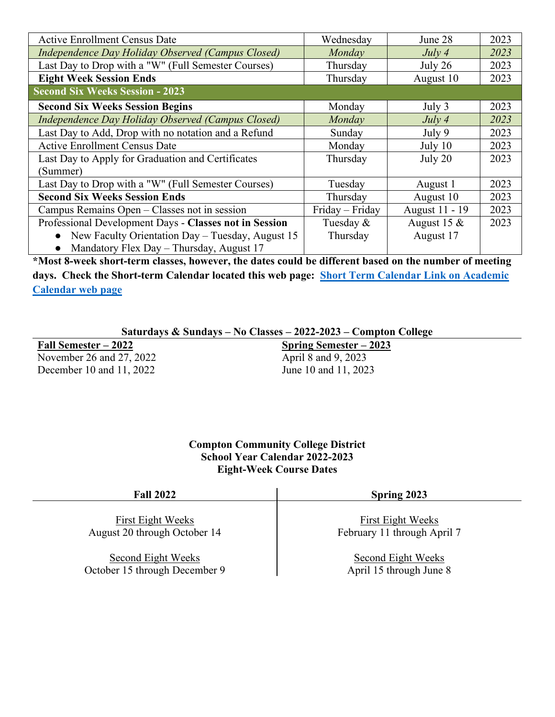| <b>Active Enrollment Census Date</b>                          | Wednesday       | June 28        | 2023 |
|---------------------------------------------------------------|-----------------|----------------|------|
| Independence Day Holiday Observed (Campus Closed)             | Monday          | July 4         | 2023 |
| Last Day to Drop with a "W" (Full Semester Courses)           | Thursday        | July 26        | 2023 |
| <b>Eight Week Session Ends</b>                                | Thursday        | August 10      | 2023 |
| <b>Second Six Weeks Session - 2023</b>                        |                 |                |      |
| <b>Second Six Weeks Session Begins</b>                        | Monday          | July 3         | 2023 |
| Independence Day Holiday Observed (Campus Closed)             | <b>Monday</b>   | July 4         | 2023 |
| Last Day to Add, Drop with no notation and a Refund           | Sunday          | July 9         | 2023 |
| <b>Active Enrollment Census Date</b>                          | Monday          | July $10$      | 2023 |
| Last Day to Apply for Graduation and Certificates             | Thursday        | July $20$      | 2023 |
| (Summer)                                                      |                 |                |      |
| Last Day to Drop with a "W" (Full Semester Courses)           | Tuesday         | August 1       | 2023 |
| <b>Second Six Weeks Session Ends</b>                          | Thursday        | August 10      | 2023 |
| Campus Remains Open – Classes not in session                  | Friday – Friday | August 11 - 19 | 2023 |
| Professional Development Days - Classes not in Session        | Tuesday &       | August 15 $\&$ | 2023 |
| New Faculty Orientation Day - Tuesday, August 15<br>$\bullet$ | Thursday        | August 17      |      |
| Mandatory Flex Day – Thursday, August 17<br>$\bullet$         |                 |                |      |

**\*Most 8-week short-term classes, however, the dates could be different based on the number of meeting days. Check the Short-term Calendar located this web page: [Short Term Calendar Link on Academic](https://www.compton.edu/academics/calendar.aspx)  [Calendar web page](https://www.compton.edu/academics/calendar.aspx)**

### **Saturdays & Sundays – No Classes – 2022-2023 – Compton College**

**Fall Semester – 2022** November 26 and 27, 2022 December 10 and 11, 2022

**Spring Semester – 2023** April 8 and 9, 2023 June 10 and 11, 2023

**Compton Community College District School Year Calendar 2022-2023 Eight-Week Course Dates**

| <b>Fall 2022</b>              | Spring 2023                 |  |  |
|-------------------------------|-----------------------------|--|--|
| First Eight Weeks             | First Eight Weeks           |  |  |
| August 20 through October 14  | February 11 through April 7 |  |  |
| Second Eight Weeks            | Second Eight Weeks          |  |  |
| October 15 through December 9 | April 15 through June 8     |  |  |